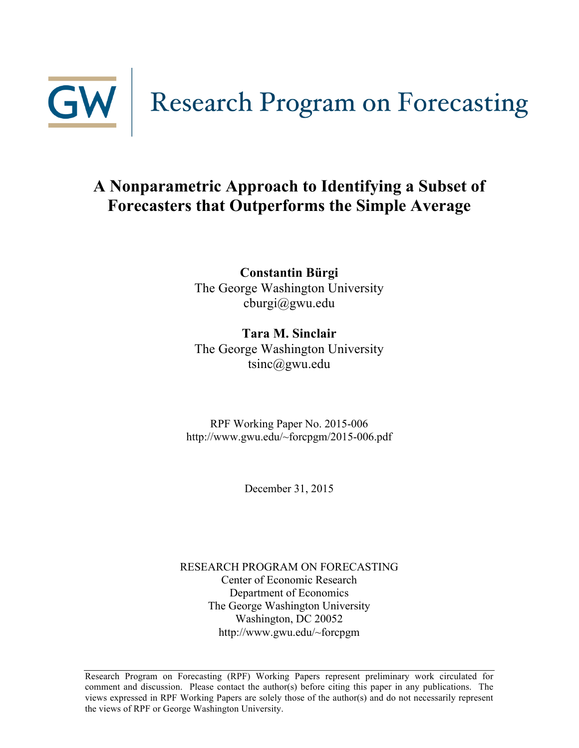

# **A Nonparametric Approach to Identifying a Subset of Forecasters that Outperforms the Simple Average**

**Constantin Bürgi** The George Washington University cburgi@gwu.edu

**Tara M. Sinclair** The George Washington University tsinc@gwu.edu

RPF Working Paper No. 2015-006 http://www.gwu.edu/~forcpgm/2015-006.pdf

December 31, 2015

RESEARCH PROGRAM ON FORECASTING Center of Economic Research Department of Economics The George Washington University Washington, DC 20052 http://www.gwu.edu/~forcpgm

Research Program on Forecasting (RPF) Working Papers represent preliminary work circulated for comment and discussion. Please contact the author(s) before citing this paper in any publications. The views expressed in RPF Working Papers are solely those of the author(s) and do not necessarily represent the views of RPF or George Washington University.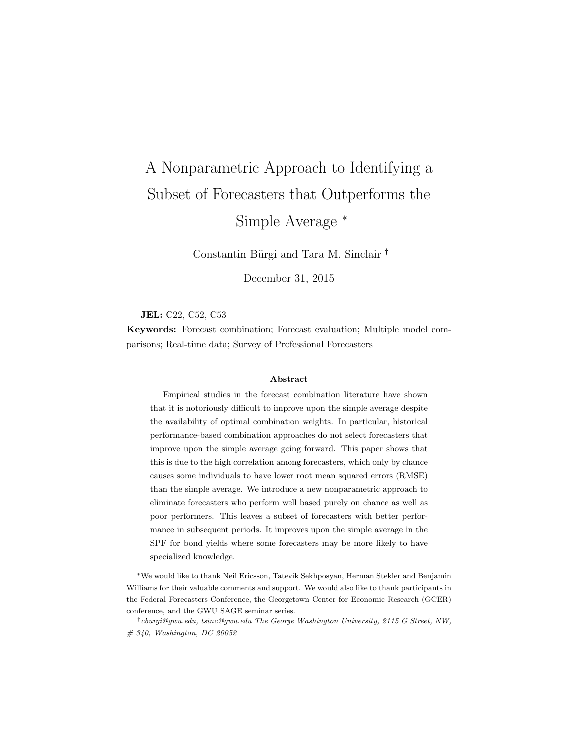# A Nonparametric Approach to Identifying a Subset of Forecasters that Outperforms the Simple Average  $*$

Constantin Bürgi and Tara M. Sinclair <sup>†</sup>

December 31, 2015

#### JEL: C22, C52, C53

Keywords: Forecast combination; Forecast evaluation; Multiple model comparisons; Real-time data; Survey of Professional Forecasters

#### Abstract

Empirical studies in the forecast combination literature have shown that it is notoriously difficult to improve upon the simple average despite the availability of optimal combination weights. In particular, historical performance-based combination approaches do not select forecasters that improve upon the simple average going forward. This paper shows that this is due to the high correlation among forecasters, which only by chance causes some individuals to have lower root mean squared errors (RMSE) than the simple average. We introduce a new nonparametric approach to eliminate forecasters who perform well based purely on chance as well as poor performers. This leaves a subset of forecasters with better performance in subsequent periods. It improves upon the simple average in the SPF for bond yields where some forecasters may be more likely to have specialized knowledge.

<sup>⇤</sup>We would like to thank Neil Ericsson, Tatevik Sekhposyan, Herman Stekler and Benjamin Williams for their valuable comments and support. We would also like to thank participants in the Federal Forecasters Conference, the Georgetown Center for Economic Research (GCER) conference, and the GWU SAGE seminar series.

*<sup>†</sup>cburgi@gwu.edu, tsinc@gwu.edu The George Washington University, 2115 G Street, NW, # 340, Washington, DC 20052*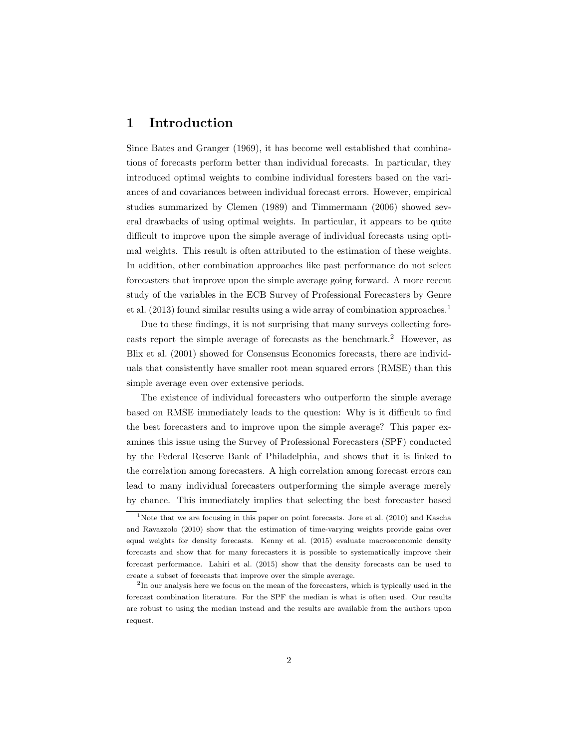# 1 Introduction

Since Bates and Granger (1969), it has become well established that combinations of forecasts perform better than individual forecasts. In particular, they introduced optimal weights to combine individual foresters based on the variances of and covariances between individual forecast errors. However, empirical studies summarized by Clemen (1989) and Timmermann (2006) showed several drawbacks of using optimal weights. In particular, it appears to be quite difficult to improve upon the simple average of individual forecasts using optimal weights. This result is often attributed to the estimation of these weights. In addition, other combination approaches like past performance do not select forecasters that improve upon the simple average going forward. A more recent study of the variables in the ECB Survey of Professional Forecasters by Genre et al. (2013) found similar results using a wide array of combination approaches.<sup>1</sup>

Due to these findings, it is not surprising that many surveys collecting forecasts report the simple average of forecasts as the benchmark.<sup>2</sup> However, as Blix et al. (2001) showed for Consensus Economics forecasts, there are individuals that consistently have smaller root mean squared errors (RMSE) than this simple average even over extensive periods.

The existence of individual forecasters who outperform the simple average based on RMSE immediately leads to the question: Why is it difficult to find the best forecasters and to improve upon the simple average? This paper examines this issue using the Survey of Professional Forecasters (SPF) conducted by the Federal Reserve Bank of Philadelphia, and shows that it is linked to the correlation among forecasters. A high correlation among forecast errors can lead to many individual forecasters outperforming the simple average merely by chance. This immediately implies that selecting the best forecaster based

<sup>&</sup>lt;sup>1</sup>Note that we are focusing in this paper on point forecasts. Jore et al. (2010) and Kascha and Ravazzolo (2010) show that the estimation of time-varying weights provide gains over equal weights for density forecasts. Kenny et al. (2015) evaluate macroeconomic density forecasts and show that for many forecasters it is possible to systematically improve their forecast performance. Lahiri et al. (2015) show that the density forecasts can be used to create a subset of forecasts that improve over the simple average.

<sup>2</sup>In our analysis here we focus on the mean of the forecasters, which is typically used in the forecast combination literature. For the SPF the median is what is often used. Our results are robust to using the median instead and the results are available from the authors upon request.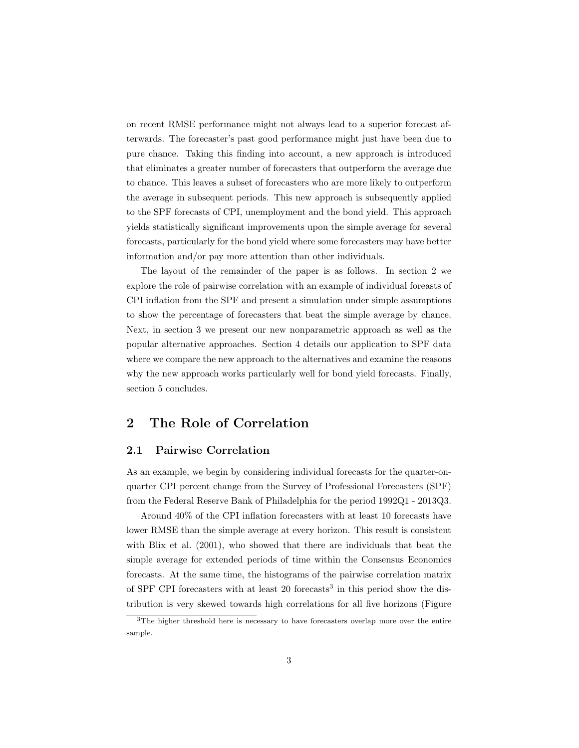on recent RMSE performance might not always lead to a superior forecast afterwards. The forecaster's past good performance might just have been due to pure chance. Taking this finding into account, a new approach is introduced that eliminates a greater number of forecasters that outperform the average due to chance. This leaves a subset of forecasters who are more likely to outperform the average in subsequent periods. This new approach is subsequently applied to the SPF forecasts of CPI, unemployment and the bond yield. This approach yields statistically significant improvements upon the simple average for several forecasts, particularly for the bond yield where some forecasters may have better information and/or pay more attention than other individuals.

The layout of the remainder of the paper is as follows. In section 2 we explore the role of pairwise correlation with an example of individual foreasts of CPI inflation from the SPF and present a simulation under simple assumptions to show the percentage of forecasters that beat the simple average by chance. Next, in section 3 we present our new nonparametric approach as well as the popular alternative approaches. Section 4 details our application to SPF data where we compare the new approach to the alternatives and examine the reasons why the new approach works particularly well for bond yield forecasts. Finally, section 5 concludes.

# 2 The Role of Correlation

#### 2.1 Pairwise Correlation

As an example, we begin by considering individual forecasts for the quarter-onquarter CPI percent change from the Survey of Professional Forecasters (SPF) from the Federal Reserve Bank of Philadelphia for the period 1992Q1 - 2013Q3.

Around 40% of the CPI inflation forecasters with at least 10 forecasts have lower RMSE than the simple average at every horizon. This result is consistent with Blix et al. (2001), who showed that there are individuals that beat the simple average for extended periods of time within the Consensus Economics forecasts. At the same time, the histograms of the pairwise correlation matrix of SPF CPI forecasters with at least 20 forecasts<sup>3</sup> in this period show the distribution is very skewed towards high correlations for all five horizons (Figure

<sup>&</sup>lt;sup>3</sup>The higher threshold here is necessary to have forecasters overlap more over the entire sample.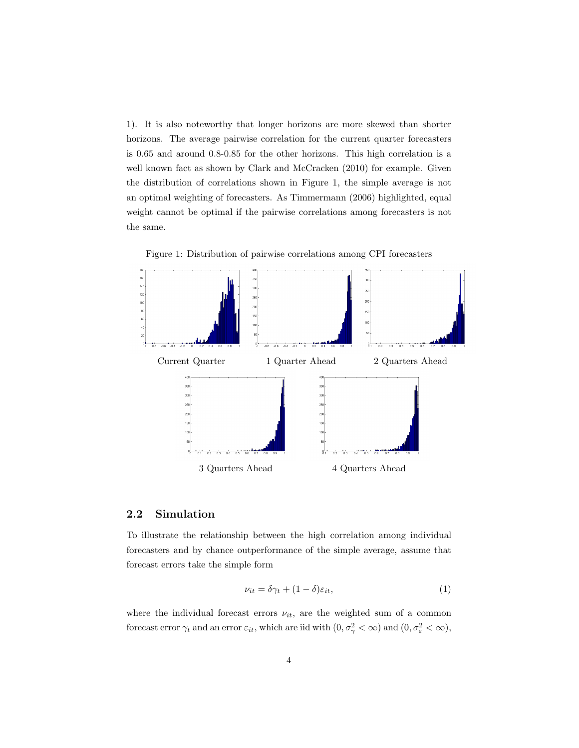1). It is also noteworthy that longer horizons are more skewed than shorter horizons. The average pairwise correlation for the current quarter forecasters is 0.65 and around 0.8-0.85 for the other horizons. This high correlation is a well known fact as shown by Clark and McCracken (2010) for example. Given the distribution of correlations shown in Figure 1, the simple average is not an optimal weighting of forecasters. As Timmermann (2006) highlighted, equal weight cannot be optimal if the pairwise correlations among forecasters is not the same.



Figure 1: Distribution of pairwise correlations among CPI forecasters

#### 2.2 Simulation

To illustrate the relationship between the high correlation among individual forecasters and by chance outperformance of the simple average, assume that forecast errors take the simple form

$$
\nu_{it} = \delta \gamma_t + (1 - \delta) \varepsilon_{it}, \tag{1}
$$

where the individual forecast errors  $\nu_{it}$ , are the weighted sum of a common forecast error  $\gamma_t$  and an error  $\varepsilon_{it}$ , which are iid with  $(0, \sigma_\gamma^2 < \infty)$  and  $(0, \sigma_\varepsilon^2 < \infty)$ ,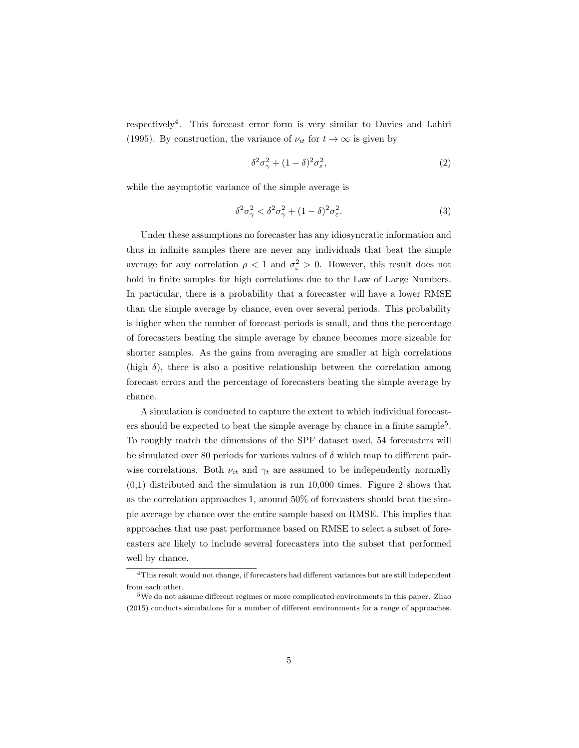respectively4. This forecast error form is very similar to Davies and Lahiri (1995). By construction, the variance of  $\nu_{it}$  for  $t \to \infty$  is given by

$$
\delta^2 \sigma_\gamma^2 + (1 - \delta)^2 \sigma_\varepsilon^2,\tag{2}
$$

while the asymptotic variance of the simple average is

$$
\delta^2 \sigma_\gamma^2 < \delta^2 \sigma_\gamma^2 + (1 - \delta)^2 \sigma_\varepsilon^2. \tag{3}
$$

Under these assumptions no forecaster has any idiosyncratic information and thus in infinite samples there are never any individuals that beat the simple average for any correlation  $\rho < 1$  and  $\sigma_{\varepsilon}^2 > 0$ . However, this result does not hold in finite samples for high correlations due to the Law of Large Numbers. In particular, there is a probability that a forecaster will have a lower RMSE than the simple average by chance, even over several periods. This probability is higher when the number of forecast periods is small, and thus the percentage of forecasters beating the simple average by chance becomes more sizeable for shorter samples. As the gains from averaging are smaller at high correlations (high  $\delta$ ), there is also a positive relationship between the correlation among forecast errors and the percentage of forecasters beating the simple average by chance.

A simulation is conducted to capture the extent to which individual forecasters should be expected to beat the simple average by chance in a finite sample<sup>5</sup>. To roughly match the dimensions of the SPF dataset used, 54 forecasters will be simulated over 80 periods for various values of  $\delta$  which map to different pairwise correlations. Both  $\nu_{it}$  and  $\gamma_t$  are assumed to be independently normally (0,1) distributed and the simulation is run 10,000 times. Figure 2 shows that as the correlation approaches 1, around 50% of forecasters should beat the simple average by chance over the entire sample based on RMSE. This implies that approaches that use past performance based on RMSE to select a subset of forecasters are likely to include several forecasters into the subset that performed well by chance.

 $4$ This result would not change, if forecasters had different variances but are still independent from each other.

 $5$ We do not assume different regimes or more complicated environments in this paper. Zhao (2015) conducts simulations for a number of different environments for a range of approaches.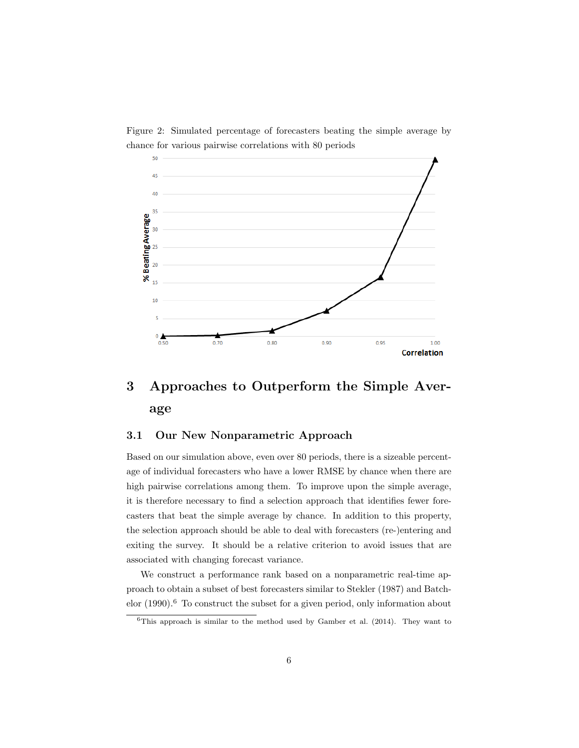

Figure 2: Simulated percentage of forecasters beating the simple average by chance for various pairwise correlations with 80 periods

# 3 Approaches to Outperform the Simple Average

#### 3.1 Our New Nonparametric Approach

Based on our simulation above, even over 80 periods, there is a sizeable percentage of individual forecasters who have a lower RMSE by chance when there are high pairwise correlations among them. To improve upon the simple average, it is therefore necessary to find a selection approach that identifies fewer forecasters that beat the simple average by chance. In addition to this property, the selection approach should be able to deal with forecasters (re-)entering and exiting the survey. It should be a relative criterion to avoid issues that are associated with changing forecast variance.

We construct a performance rank based on a nonparametric real-time approach to obtain a subset of best forecasters similar to Stekler (1987) and Batchelor  $(1990).<sup>6</sup>$  To construct the subset for a given period, only information about

 $6$ This approach is similar to the method used by Gamber et al. (2014). They want to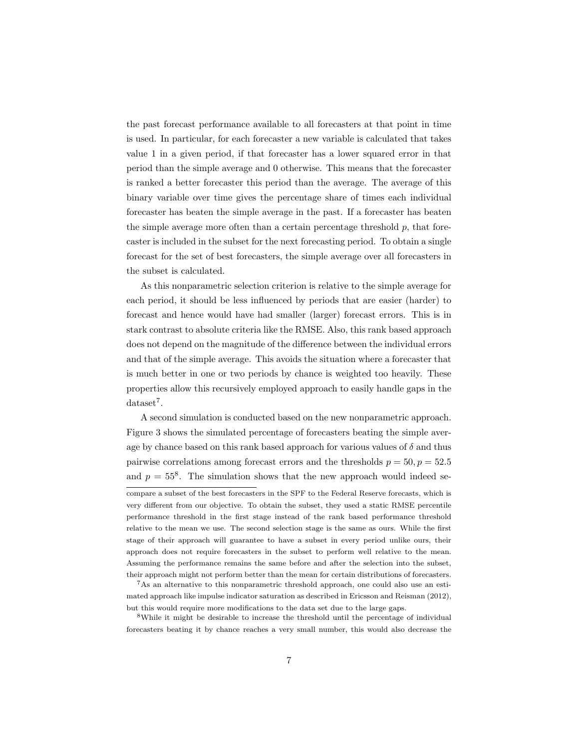the past forecast performance available to all forecasters at that point in time is used. In particular, for each forecaster a new variable is calculated that takes value 1 in a given period, if that forecaster has a lower squared error in that period than the simple average and 0 otherwise. This means that the forecaster is ranked a better forecaster this period than the average. The average of this binary variable over time gives the percentage share of times each individual forecaster has beaten the simple average in the past. If a forecaster has beaten the simple average more often than a certain percentage threshold  $p$ , that forecaster is included in the subset for the next forecasting period. To obtain a single forecast for the set of best forecasters, the simple average over all forecasters in the subset is calculated.

As this nonparametric selection criterion is relative to the simple average for each period, it should be less influenced by periods that are easier (harder) to forecast and hence would have had smaller (larger) forecast errors. This is in stark contrast to absolute criteria like the RMSE. Also, this rank based approach does not depend on the magnitude of the difference between the individual errors and that of the simple average. This avoids the situation where a forecaster that is much better in one or two periods by chance is weighted too heavily. These properties allow this recursively employed approach to easily handle gaps in the  $dataset<sup>7</sup>$ .

A second simulation is conducted based on the new nonparametric approach. Figure 3 shows the simulated percentage of forecasters beating the simple average by chance based on this rank based approach for various values of  $\delta$  and thus pairwise correlations among forecast errors and the thresholds  $p = 50, p = 52.5$ and  $p = 55<sup>8</sup>$ . The simulation shows that the new approach would indeed secompare a subset of the best forecasters in the SPF to the Federal Reserve forecasts, which is very different from our objective. To obtain the subset, they used a static RMSE percentile performance threshold in the first stage instead of the rank based performance threshold relative to the mean we use. The second selection stage is the same as ours. While the first stage of their approach will guarantee to have a subset in every period unlike ours, their approach does not require forecasters in the subset to perform well relative to the mean. Assuming the performance remains the same before and after the selection into the subset, their approach might not perform better than the mean for certain distributions of forecasters.

<sup>7</sup>As an alternative to this nonparametric threshold approach, one could also use an estimated approach like impulse indicator saturation as described in Ericsson and Reisman (2012), but this would require more modifications to the data set due to the large gaps.

<sup>8</sup>While it might be desirable to increase the threshold until the percentage of individual forecasters beating it by chance reaches a very small number, this would also decrease the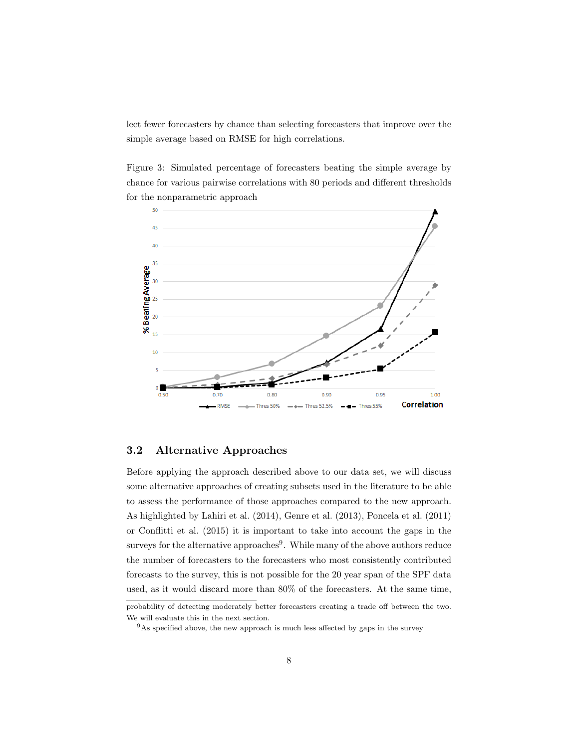lect fewer forecasters by chance than selecting forecasters that improve over the simple average based on RMSE for high correlations.

Figure 3: Simulated percentage of forecasters beating the simple average by chance for various pairwise correlations with 80 periods and different thresholds for the nonparametric approach



#### 3.2 Alternative Approaches

Before applying the approach described above to our data set, we will discuss some alternative approaches of creating subsets used in the literature to be able to assess the performance of those approaches compared to the new approach. As highlighted by Lahiri et al. (2014), Genre et al. (2013), Poncela et al. (2011) or Conflitti et al. (2015) it is important to take into account the gaps in the surveys for the alternative approaches $9$ . While many of the above authors reduce the number of forecasters to the forecasters who most consistently contributed forecasts to the survey, this is not possible for the 20 year span of the SPF data used, as it would discard more than 80% of the forecasters. At the same time,

probability of detecting moderately better forecasters creating a trade off between the two. We will evaluate this in the next section.

 $9As$  specified above, the new approach is much less affected by gaps in the survey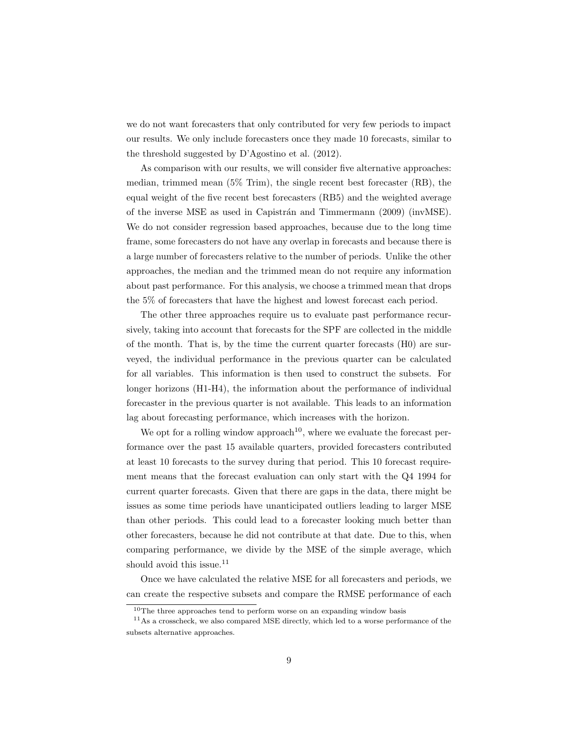we do not want forecasters that only contributed for very few periods to impact our results. We only include forecasters once they made 10 forecasts, similar to the threshold suggested by D'Agostino et al. (2012).

As comparison with our results, we will consider five alternative approaches: median, trimmed mean  $(5\%$  Trim), the single recent best forecaster  $(RB)$ , the equal weight of the five recent best forecasters (RB5) and the weighted average of the inverse MSE as used in Capistrán and Timmermann (2009) (invMSE). We do not consider regression based approaches, because due to the long time frame, some forecasters do not have any overlap in forecasts and because there is a large number of forecasters relative to the number of periods. Unlike the other approaches, the median and the trimmed mean do not require any information about past performance. For this analysis, we choose a trimmed mean that drops the 5% of forecasters that have the highest and lowest forecast each period.

The other three approaches require us to evaluate past performance recursively, taking into account that forecasts for the SPF are collected in the middle of the month. That is, by the time the current quarter forecasts (H0) are surveyed, the individual performance in the previous quarter can be calculated for all variables. This information is then used to construct the subsets. For longer horizons (H1-H4), the information about the performance of individual forecaster in the previous quarter is not available. This leads to an information lag about forecasting performance, which increases with the horizon.

We opt for a rolling window approach<sup>10</sup>, where we evaluate the forecast performance over the past 15 available quarters, provided forecasters contributed at least 10 forecasts to the survey during that period. This 10 forecast requirement means that the forecast evaluation can only start with the Q4 1994 for current quarter forecasts. Given that there are gaps in the data, there might be issues as some time periods have unanticipated outliers leading to larger MSE than other periods. This could lead to a forecaster looking much better than other forecasters, because he did not contribute at that date. Due to this, when comparing performance, we divide by the MSE of the simple average, which should avoid this issue.<sup>11</sup>

Once we have calculated the relative MSE for all forecasters and periods, we can create the respective subsets and compare the RMSE performance of each

<sup>10</sup>The three approaches tend to perform worse on an expanding window basis

<sup>11</sup>As a crosscheck, we also compared MSE directly, which led to a worse performance of the subsets alternative approaches.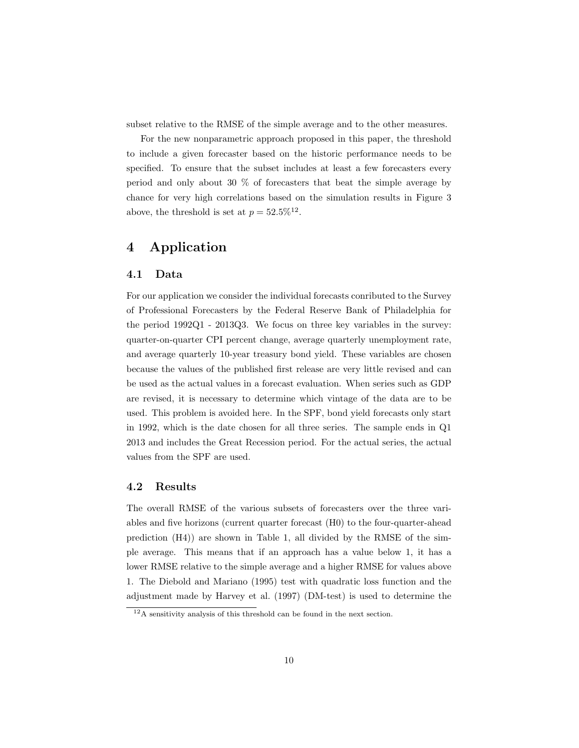subset relative to the RMSE of the simple average and to the other measures.

For the new nonparametric approach proposed in this paper, the threshold to include a given forecaster based on the historic performance needs to be specified. To ensure that the subset includes at least a few forecasters every period and only about 30 % of forecasters that beat the simple average by chance for very high correlations based on the simulation results in Figure 3 above, the threshold is set at  $p = 52.5\%^{12}$ .

# 4 Application

#### 4.1 Data

For our application we consider the individual forecasts conributed to the Survey of Professional Forecasters by the Federal Reserve Bank of Philadelphia for the period 1992Q1 - 2013Q3. We focus on three key variables in the survey: quarter-on-quarter CPI percent change, average quarterly unemployment rate, and average quarterly 10-year treasury bond yield. These variables are chosen because the values of the published first release are very little revised and can be used as the actual values in a forecast evaluation. When series such as GDP are revised, it is necessary to determine which vintage of the data are to be used. This problem is avoided here. In the SPF, bond yield forecasts only start in 1992, which is the date chosen for all three series. The sample ends in Q1 2013 and includes the Great Recession period. For the actual series, the actual values from the SPF are used.

#### 4.2 Results

The overall RMSE of the various subsets of forecasters over the three variables and five horizons (current quarter forecast (H0) to the four-quarter-ahead prediction  $(H4)$  are shown in Table 1, all divided by the RMSE of the simple average. This means that if an approach has a value below 1, it has a lower RMSE relative to the simple average and a higher RMSE for values above 1. The Diebold and Mariano (1995) test with quadratic loss function and the adjustment made by Harvey et al. (1997) (DM-test) is used to determine the

 $12A$  sensitivity analysis of this threshold can be found in the next section.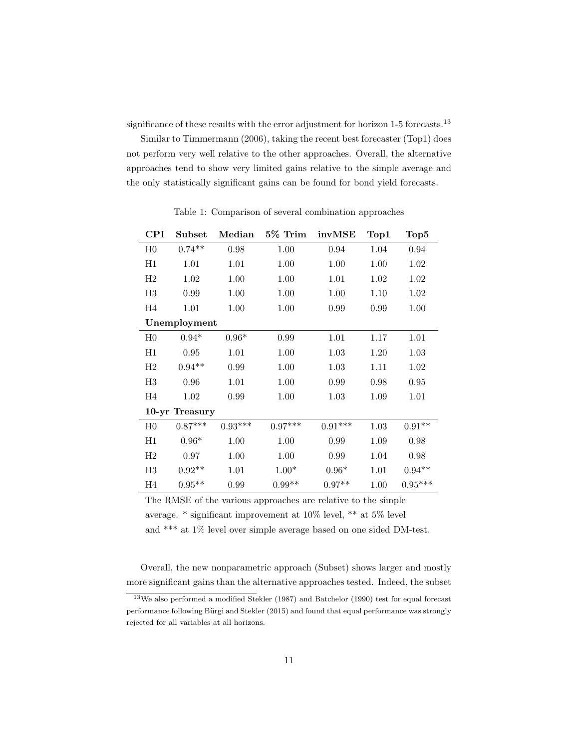significance of these results with the error adjustment for horizon 1-5 forecasts.<sup>13</sup>

Similar to Timmermann (2006), taking the recent best forecaster (Top1) does not perform very well relative to the other approaches. Overall, the alternative approaches tend to show very limited gains relative to the simple average and the only statistically significant gains can be found for bond yield forecasts.

| <b>CPI</b>     | Subset    | Median    | $5\%$ Trim | invMSE    | Top1 | Top5      |
|----------------|-----------|-----------|------------|-----------|------|-----------|
| H <sub>0</sub> | $0.74**$  | 0.98      | 1.00       | 0.94      | 1.04 | 0.94      |
| H1             | 1.01      | 1.01      | 1.00       | 1.00      | 1.00 | 1.02      |
| H2             | 1.02      | 1.00      | 1.00       | 1.01      | 1.02 | 1.02      |
| H3             | 0.99      | 1.00      | 1.00       | 1.00      | 1.10 | 1.02      |
| H4             | 1.01      | 1.00      | 1.00       | 0.99      | 0.99 | 1.00      |
| Unemployment   |           |           |            |           |      |           |
| H <sub>0</sub> | $0.94*$   | $0.96*$   | 0.99       | 1.01      | 1.17 | 1.01      |
| H1             | 0.95      | 1.01      | 1.00       | 1.03      | 1.20 | 1.03      |
| $_{\rm H2}$    | $0.94**$  | 0.99      | 1.00       | 1.03      | 1.11 | 1.02      |
| H3             | 0.96      | 1.01      | 1.00       | 0.99      | 0.98 | 0.95      |
| H4             | 1.02      | 0.99      | 1.00       | 1.03      | 1.09 | 1.01      |
| 10-yr Treasury |           |           |            |           |      |           |
| H <sub>0</sub> | $0.87***$ | $0.93***$ | $0.97***$  | $0.91***$ | 1.03 | $0.91**$  |
| H1             | $0.96*$   | 1.00      | 1.00       | 0.99      | 1.09 | 0.98      |
| H2             | 0.97      | 1.00      | 1.00       | 0.99      | 1.04 | 0.98      |
| H3             | $0.92**$  | 1.01      | $1.00*$    | $0.96*$   | 1.01 | $0.94**$  |
| H4             | $0.95**$  | 0.99      | $0.99**$   | $0.97**$  | 1.00 | $0.95***$ |

Table 1: Comparison of several combination approaches

The RMSE of the various approaches are relative to the simple average. \* significant improvement at 10% level, \*\* at 5% level and \*\*\* at 1% level over simple average based on one sided DM-test.

Overall, the new nonparametric approach (Subset) shows larger and mostly more significant gains than the alternative approaches tested. Indeed, the subset

<sup>13</sup>We also performed a modified Stekler (1987) and Batchelor (1990) test for equal forecast performance following Bürgi and Stekler (2015) and found that equal performance was strongly rejected for all variables at all horizons.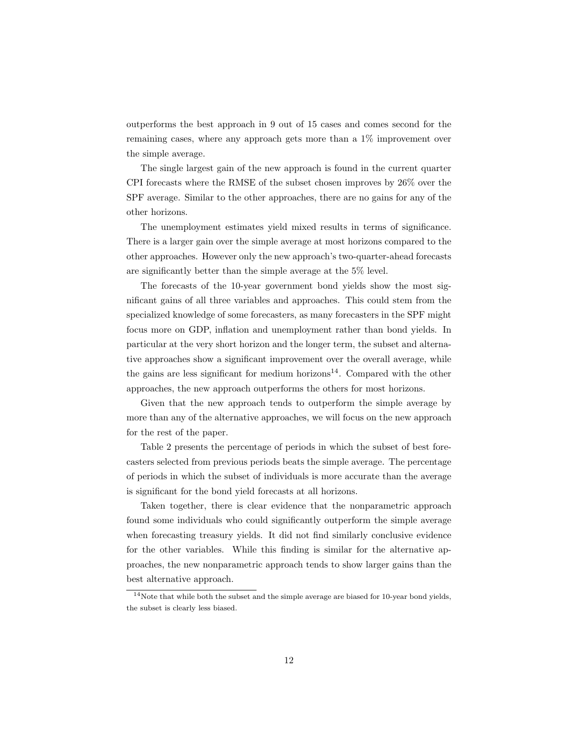outperforms the best approach in 9 out of 15 cases and comes second for the remaining cases, where any approach gets more than a 1% improvement over the simple average.

The single largest gain of the new approach is found in the current quarter CPI forecasts where the RMSE of the subset chosen improves by 26% over the SPF average. Similar to the other approaches, there are no gains for any of the other horizons.

The unemployment estimates yield mixed results in terms of significance. There is a larger gain over the simple average at most horizons compared to the other approaches. However only the new approach's two-quarter-ahead forecasts are significantly better than the simple average at the 5% level.

The forecasts of the 10-year government bond yields show the most significant gains of all three variables and approaches. This could stem from the specialized knowledge of some forecasters, as many forecasters in the SPF might focus more on GDP, inflation and unemployment rather than bond yields. In particular at the very short horizon and the longer term, the subset and alternative approaches show a significant improvement over the overall average, while the gains are less significant for medium horizons<sup>14</sup>. Compared with the other approaches, the new approach outperforms the others for most horizons.

Given that the new approach tends to outperform the simple average by more than any of the alternative approaches, we will focus on the new approach for the rest of the paper.

Table 2 presents the percentage of periods in which the subset of best forecasters selected from previous periods beats the simple average. The percentage of periods in which the subset of individuals is more accurate than the average is significant for the bond yield forecasts at all horizons.

Taken together, there is clear evidence that the nonparametric approach found some individuals who could significantly outperform the simple average when forecasting treasury yields. It did not find similarly conclusive evidence for the other variables. While this finding is similar for the alternative approaches, the new nonparametric approach tends to show larger gains than the best alternative approach.

<sup>&</sup>lt;sup>14</sup>Note that while both the subset and the simple average are biased for 10-year bond yields, the subset is clearly less biased.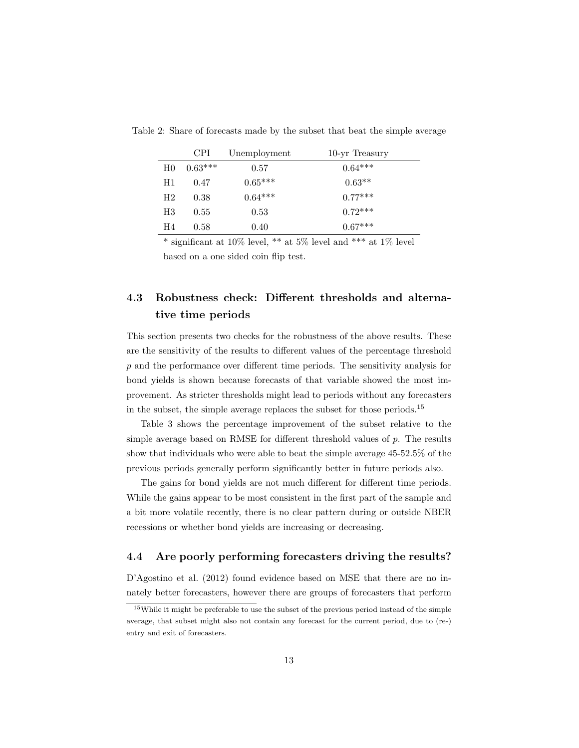|                | <b>CPI</b> | Unemployment | 10-yr Treasury |
|----------------|------------|--------------|----------------|
| H <sub>0</sub> | $0.63***$  | 0.57         | $0.64***$      |
| H1             | 0.47       | $0.65***$    | $0.63**$       |
| H2             | 0.38       | $0.64***$    | $0.77***$      |
| H3             | 0.55       | 0.53         | $0.72***$      |
| H4             | 0.58       | 0.40         | $0.67***$      |

Table 2: Share of forecasts made by the subset that beat the simple average

\* significant at 10% level, \*\* at 5% level and \*\*\* at 1% level based on a one sided coin flip test.

# 4.3 Robustness check: Different thresholds and alternative time periods

This section presents two checks for the robustness of the above results. These are the sensitivity of the results to different values of the percentage threshold p and the performance over different time periods. The sensitivity analysis for bond yields is shown because forecasts of that variable showed the most improvement. As stricter thresholds might lead to periods without any forecasters in the subset, the simple average replaces the subset for those periods.<sup>15</sup>

Table 3 shows the percentage improvement of the subset relative to the simple average based on RMSE for different threshold values of  $p$ . The results show that individuals who were able to beat the simple average 45-52.5% of the previous periods generally perform significantly better in future periods also.

The gains for bond yields are not much different for different time periods. While the gains appear to be most consistent in the first part of the sample and a bit more volatile recently, there is no clear pattern during or outside NBER recessions or whether bond yields are increasing or decreasing.

#### 4.4 Are poorly performing forecasters driving the results?

D'Agostino et al. (2012) found evidence based on MSE that there are no innately better forecasters, however there are groups of forecasters that perform

<sup>15</sup>While it might be preferable to use the subset of the previous period instead of the simple average, that subset might also not contain any forecast for the current period, due to (re-) entry and exit of forecasters.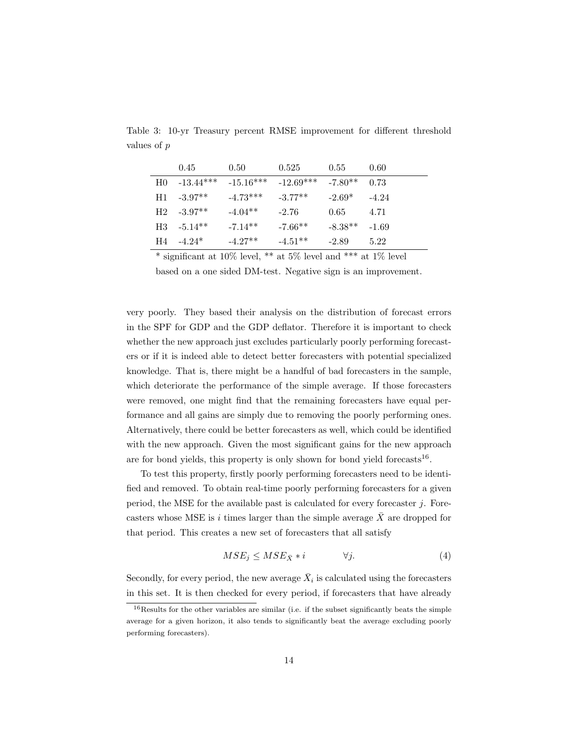|     | 0.45        | 0.50                    | 0.525     | 0.55      | 0.60    |
|-----|-------------|-------------------------|-----------|-----------|---------|
| H0. | $-13.44***$ | $-15.16***$ $-12.69***$ |           | $-7.80**$ | 0.73    |
| H1  | $-3.97**$   | $-4.73***$              | $-3.77**$ | $-2.69*$  | $-4.24$ |
| H2  | $-3.97**$   | $-4.04**$               | $-2.76$   | 0.65      | 4.71    |
| H3  | $-5.14**$   | $-7.14**$               | $-7.66**$ | $-8.38**$ | $-1.69$ |
| H4  | $-4.24*$    | $-4.27**$               | $-4.51**$ | $-2.89$   | 5.22    |

Table 3: 10-yr Treasury percent RMSE improvement for different threshold values of *p*

\* significant at 10% level, \*\* at 5% level and \*\*\* at 1% level

based on a one sided DM-test. Negative sign is an improvement.

very poorly. They based their analysis on the distribution of forecast errors in the SPF for GDP and the GDP deflator. Therefore it is important to check whether the new approach just excludes particularly poorly performing forecasters or if it is indeed able to detect better forecasters with potential specialized knowledge. That is, there might be a handful of bad forecasters in the sample, which deteriorate the performance of the simple average. If those forecasters were removed, one might find that the remaining forecasters have equal performance and all gains are simply due to removing the poorly performing ones. Alternatively, there could be better forecasters as well, which could be identified with the new approach. Given the most significant gains for the new approach are for bond yields, this property is only shown for bond yield forecasts<sup>16</sup>.

To test this property, firstly poorly performing forecasters need to be identified and removed. To obtain real-time poorly performing forecasters for a given period, the MSE for the available past is calculated for every forecaster *j*. Forecasters whose MSE is *i* times larger than the simple average *X*¯ are dropped for that period. This creates a new set of forecasters that all satisfy

$$
MSE_j \leq MSE_{\bar{X}} * i \qquad \forall j. \tag{4}
$$

Secondly, for every period, the new average  $\bar{X}_i$  is calculated using the forecasters in this set. It is then checked for every period, if forecasters that have already

 $16$ Results for the other variables are similar (i.e. if the subset significantly beats the simple average for a given horizon, it also tends to significantly beat the average excluding poorly performing forecasters).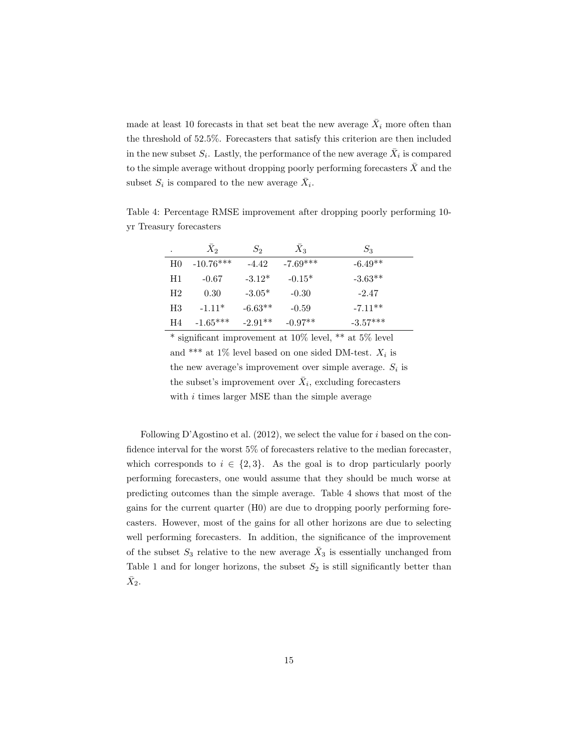made at least 10 forecasts in that set beat the new average  $\bar{X}_i$  more often than the threshold of 52.5%. Forecasters that satisfy this criterion are then included in the new subset  $S_i$ . Lastly, the performance of the new average  $\bar{X}_i$  is compared to the simple average without dropping poorly performing forecasters  $\bar{X}$  and the subset  $S_i$  is compared to the new average  $\bar{X}_i$ .

.  $\bar{X}_2$   $S_2$   $\bar{X}_3$   $S_3$ H0  $-10.76***$   $-4.42$   $-7.69***$   $-6.49**$ H1  $-0.67$   $-3.12^*$   $-0.15^*$   $-3.63^{**}$ H2 0.30 -3.05\* -0.30 -2.47 H3  $-1.11^*$   $-6.63^{**}$   $-0.59$   $-7.11^{**}$ H4 -1.65\*\*\* -2.91\*\* -0.97\*\* -3.57\*\*\*

Table 4: Percentage RMSE improvement after dropping poorly performing 10 yr Treasury forecasters

 $*$  significant improvement at 10% level,  $**$  at 5% level and \*\*\* at 1% level based on one sided DM-test.  $X_i$  is the new average's improvement over simple average.  $S_i$  is the subset's improvement over  $\bar{X}_i$ , excluding forecasters with *i* times larger MSE than the simple average

Following D'Agostino et al. (2012), we select the value for *i* based on the confidence interval for the worst 5% of forecasters relative to the median forecaster, which corresponds to  $i \in \{2,3\}$ . As the goal is to drop particularly poorly performing forecasters, one would assume that they should be much worse at predicting outcomes than the simple average. Table 4 shows that most of the gains for the current quarter (H0) are due to dropping poorly performing forecasters. However, most of the gains for all other horizons are due to selecting well performing forecasters. In addition, the significance of the improvement of the subset  $S_3$  relative to the new average  $\bar{X}_3$  is essentially unchanged from Table 1 and for longer horizons, the subset  $S_2$  is still significantly better than  $\bar{X}_2$ .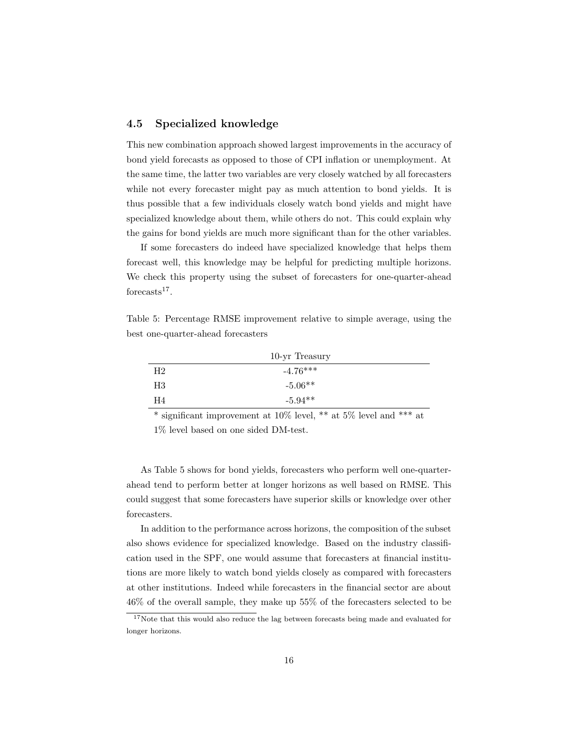#### 4.5 Specialized knowledge

This new combination approach showed largest improvements in the accuracy of bond yield forecasts as opposed to those of CPI inflation or unemployment. At the same time, the latter two variables are very closely watched by all forecasters while not every forecaster might pay as much attention to bond yields. It is thus possible that a few individuals closely watch bond yields and might have specialized knowledge about them, while others do not. This could explain why the gains for bond yields are much more significant than for the other variables.

If some forecasters do indeed have specialized knowledge that helps them forecast well, this knowledge may be helpful for predicting multiple horizons. We check this property using the subset of forecasters for one-quarter-ahead forecasts $17$ .

Table 5: Percentage RMSE improvement relative to simple average, using the best one-quarter-ahead forecasters

|    | 10-yr Treasury |
|----|----------------|
| H2 | $-4.76***$     |
| H3 | $-5.06**$      |
| H4 | $-5.94**$      |

\* significant improvement at 10% level, \*\* at 5% level and \*\*\* at

1% level based on one sided DM-test.

As Table 5 shows for bond yields, forecasters who perform well one-quarterahead tend to perform better at longer horizons as well based on RMSE. This could suggest that some forecasters have superior skills or knowledge over other forecasters.

In addition to the performance across horizons, the composition of the subset also shows evidence for specialized knowledge. Based on the industry classification used in the SPF, one would assume that forecasters at financial institutions are more likely to watch bond yields closely as compared with forecasters at other institutions. Indeed while forecasters in the financial sector are about 46% of the overall sample, they make up 55% of the forecasters selected to be

 $^{17}\rm{Note}$  that this would also reduce the lag between forecasts being made and evaluated for longer horizons.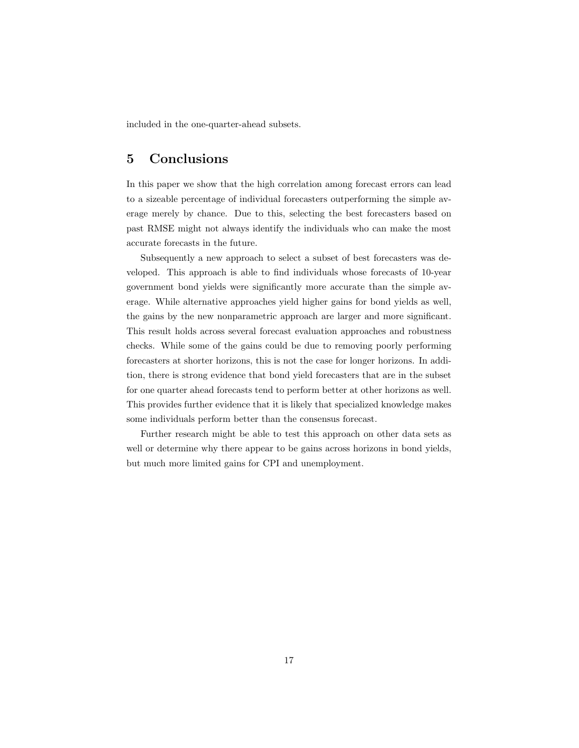included in the one-quarter-ahead subsets.

## 5 Conclusions

In this paper we show that the high correlation among forecast errors can lead to a sizeable percentage of individual forecasters outperforming the simple average merely by chance. Due to this, selecting the best forecasters based on past RMSE might not always identify the individuals who can make the most accurate forecasts in the future.

Subsequently a new approach to select a subset of best forecasters was developed. This approach is able to find individuals whose forecasts of 10-year government bond yields were significantly more accurate than the simple average. While alternative approaches yield higher gains for bond yields as well, the gains by the new nonparametric approach are larger and more significant. This result holds across several forecast evaluation approaches and robustness checks. While some of the gains could be due to removing poorly performing forecasters at shorter horizons, this is not the case for longer horizons. In addition, there is strong evidence that bond yield forecasters that are in the subset for one quarter ahead forecasts tend to perform better at other horizons as well. This provides further evidence that it is likely that specialized knowledge makes some individuals perform better than the consensus forecast.

Further research might be able to test this approach on other data sets as well or determine why there appear to be gains across horizons in bond yields, but much more limited gains for CPI and unemployment.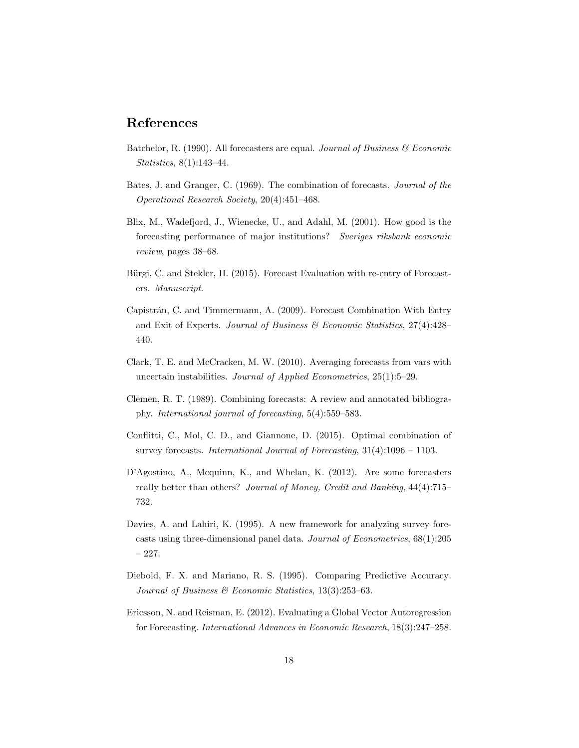### References

- Batchelor, R. (1990). All forecasters are equal. *Journal of Business & Economic Statistics*, 8(1):143–44.
- Bates, J. and Granger, C. (1969). The combination of forecasts. *Journal of the Operational Research Society*, 20(4):451–468.
- Blix, M., Wadefjord, J., Wienecke, U., and Adahl, M. (2001). How good is the forecasting performance of major institutions? *Sveriges riksbank economic review*, pages 38–68.
- Bürgi, C. and Stekler, H. (2015). Forecast Evaluation with re-entry of Forecasters. *Manuscript*.
- Capistrán, C. and Timmermann, A. (2009). Forecast Combination With Entry and Exit of Experts. *Journal of Business & Economic Statistics*, 27(4):428– 440.
- Clark, T. E. and McCracken, M. W. (2010). Averaging forecasts from vars with uncertain instabilities. *Journal of Applied Econometrics*, 25(1):5–29.
- Clemen, R. T. (1989). Combining forecasts: A review and annotated bibliography. *International journal of forecasting*, 5(4):559–583.
- Conflitti, C., Mol, C. D., and Giannone, D. (2015). Optimal combination of survey forecasts. *International Journal of Forecasting*, 31(4):1096 – 1103.
- D'Agostino, A., Mcquinn, K., and Whelan, K. (2012). Are some forecasters really better than others? *Journal of Money, Credit and Banking*, 44(4):715– 732.
- Davies, A. and Lahiri, K. (1995). A new framework for analyzing survey forecasts using three-dimensional panel data. *Journal of Econometrics*, 68(1):205 – 227.
- Diebold, F. X. and Mariano, R. S. (1995). Comparing Predictive Accuracy. *Journal of Business & Economic Statistics*, 13(3):253–63.
- Ericsson, N. and Reisman, E. (2012). Evaluating a Global Vector Autoregression for Forecasting. *International Advances in Economic Research*, 18(3):247–258.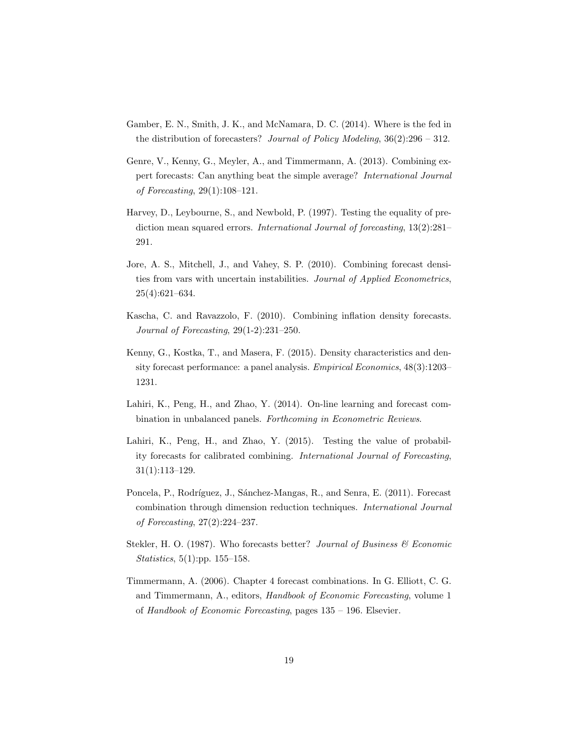- Gamber, E. N., Smith, J. K., and McNamara, D. C. (2014). Where is the fed in the distribution of forecasters? *Journal of Policy Modeling*, 36(2):296 – 312.
- Genre, V., Kenny, G., Meyler, A., and Timmermann, A. (2013). Combining expert forecasts: Can anything beat the simple average? *International Journal of Forecasting*, 29(1):108–121.
- Harvey, D., Leybourne, S., and Newbold, P. (1997). Testing the equality of prediction mean squared errors. *International Journal of forecasting*, 13(2):281– 291.
- Jore, A. S., Mitchell, J., and Vahey, S. P. (2010). Combining forecast densities from vars with uncertain instabilities. *Journal of Applied Econometrics*, 25(4):621–634.
- Kascha, C. and Ravazzolo, F. (2010). Combining inflation density forecasts. *Journal of Forecasting*, 29(1-2):231–250.
- Kenny, G., Kostka, T., and Masera, F. (2015). Density characteristics and density forecast performance: a panel analysis. *Empirical Economics*, 48(3):1203– 1231.
- Lahiri, K., Peng, H., and Zhao, Y. (2014). On-line learning and forecast combination in unbalanced panels. *Forthcoming in Econometric Reviews*.
- Lahiri, K., Peng, H., and Zhao, Y. (2015). Testing the value of probability forecasts for calibrated combining. *International Journal of Forecasting*, 31(1):113–129.
- Poncela, P., Rodríguez, J., Sánchez-Mangas, R., and Senra, E. (2011). Forecast combination through dimension reduction techniques. *International Journal of Forecasting*, 27(2):224–237.
- Stekler, H. O. (1987). Who forecasts better? *Journal of Business & Economic Statistics*, 5(1):pp. 155–158.
- Timmermann, A. (2006). Chapter 4 forecast combinations. In G. Elliott, C. G. and Timmermann, A., editors, *Handbook of Economic Forecasting*, volume 1 of *Handbook of Economic Forecasting*, pages 135 – 196. Elsevier.